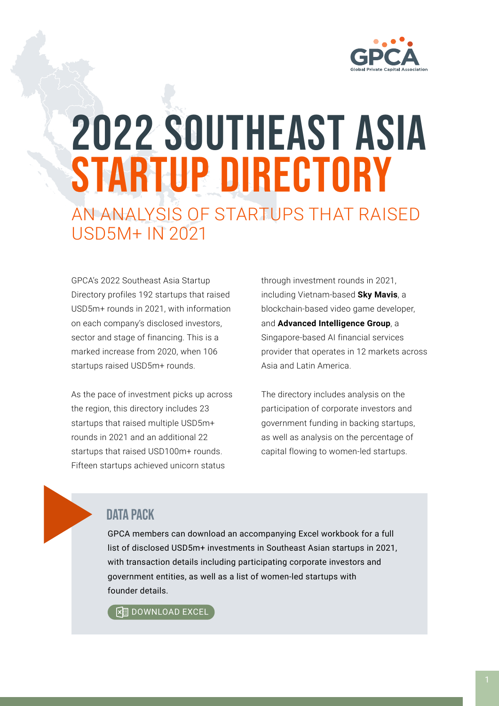

# 2022 SOUTHEAST ASIA STARTUP DIRECTORY AN ANALYSIS OF STARTUPS THAT RAISED USD5M+ IN 2021

GPCA's 2022 Southeast Asia Startup Directory profiles 192 startups that raised USD5m+ rounds in 2021, with information on each company's disclosed investors, sector and stage of financing. This is a marked increase from 2020, when 106 startups raised USD5m+ rounds.

As the pace of investment picks up across the region, this directory includes 23 startups that raised multiple USD5m+ rounds in 2021 and an additional 22 startups that raised USD100m+ rounds. Fifteen startups achieved unicorn status

through investment rounds in 2021, including Vietnam-based **Sky Mavis**, a blockchain-based video game developer, and **Advanced Intelligence Group**, a Singapore-based AI financial services provider that operates in 12 markets across Asia and Latin America.

The directory includes analysis on the participation of corporate investors and government funding in backing startups, as well as analysis on the percentage of capital flowing to women-led startups.

## DATA PACK

GPCA members can download an accompanying Excel workbook for a full list of disclosed USD5m+ investments in Southeast Asian startups in 2021, with transaction details including participating corporate investors and government entities, as well as a list of women-led startups with founder details.

**图 DOWNLOAD EXCEL**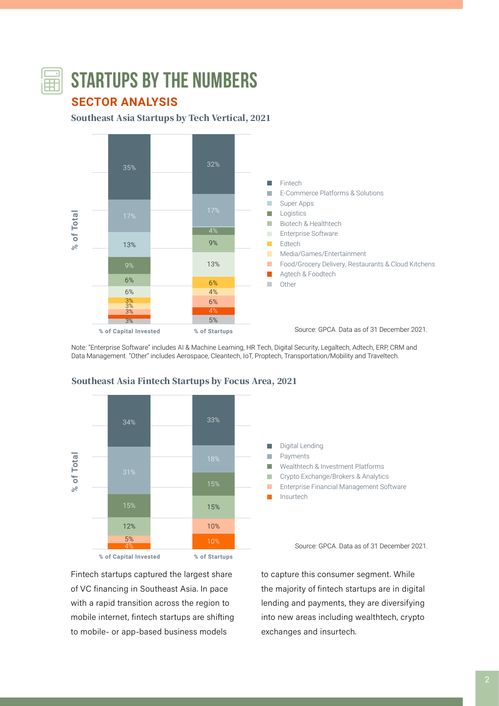

# **STARTUPS BY THE NUMBERS**

# **SECTOR ANALYSIS**

Southeast Asia Startups by Tech Vertical, 2021



Note: "Enterprise Software" includes AI & Machine Learning, HR Tech, Digital Security, Legaltech, Adtech, ERP, CRM and Data Management. "Other" includes Aerospace, Cleantech, IoT, Proptech, Transportation/Mobility and Traveltech.



#### Southeast Asia Fintech Startups by Focus Area, 2021

Digital Lending П Payments m.  $\mathbf{r}$ Wealthtech & Investment Platforms Crypto Exchange/Brokers & Analytics **The State** п Enterprise Financial Management Software Insurtech

Source: GPCA. Data as of 31 December 2021.

Fintech startups captured the largest share of VC financing in Southeast Asia. In pace with a rapid transition across the region to mobile internet, fintech startups are shifting to mobile- or app-based business models

to capture this consumer segment. While the majority of fintech startups are in digital lending and payments, they are diversifying into new areas including wealthtech, crypto exchanges and insurtech.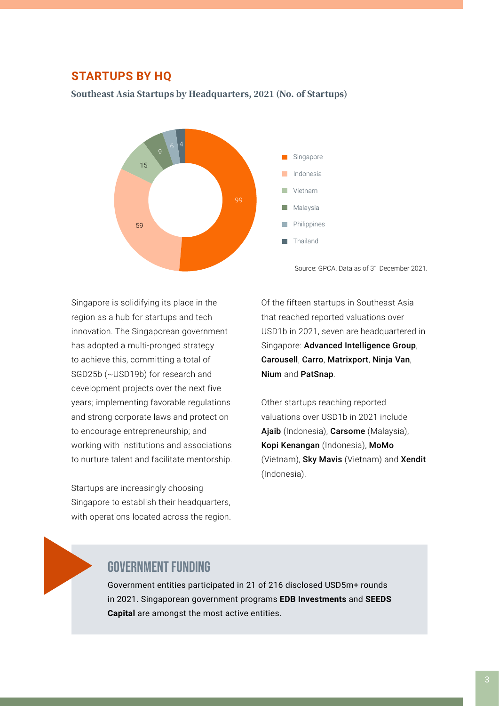#### **STARTUPS BY HQ**

#### Southeast Asia Startups by Headquarters, 2021 (No. of Startups)



Source: GPCA. Data as of 31 December 2021.

Singapore is solidifying its place in the region as a hub for startups and tech innovation. The Singaporean government has adopted a multi-pronged strategy to achieve this, committing a total of SGD25b (~USD19b) for research and development projects over the next five years; implementing favorable regulations and strong corporate laws and protection to encourage entrepreneurship; and working with institutions and associations to nurture talent and facilitate mentorship.

Startups are increasingly choosing Singapore to establish their headquarters, with operations located across the region.

Of the fifteen startups in Southeast Asia that reached reported valuations over USD1b in 2021, seven are headquartered in Singapore: Advanced Intelligence Group, Carousell, Carro, Matrixport, Ninja Van, Nium and PatSnap.

Other startups reaching reported valuations over USD1b in 2021 include Ajaib (Indonesia), Carsome (Malaysia), Kopi Kenangan (Indonesia), MoMo (Vietnam), Sky Mavis (Vietnam) and Xendit (Indonesia).

# GOVERNMENT FUNDING

Government entities participated in 21 of 216 disclosed USD5m+ rounds in 2021. Singaporean government programs **EDB Investments** and **SEEDS Capital** are amongst the most active entities.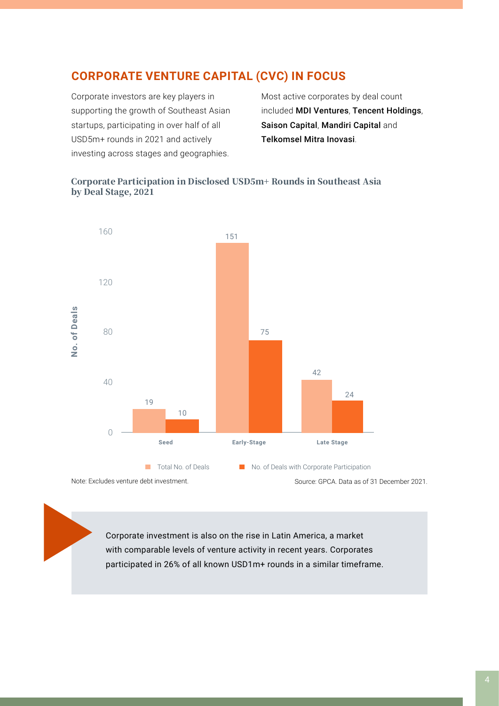# **CORPORATE VENTURE CAPITAL (CVC) IN FOCUS**

Corporate investors are key players in supporting the growth of Southeast Asian startups, participating in over half of all USD5m+ rounds in 2021 and actively investing across stages and geographies.

Most active corporates by deal count included MDI Ventures, Tencent Holdings, Saison Capital, Mandiri Capital and Telkomsel Mitra Inovasi.

#### Corporate Participation in Disclosed USD5m+ Rounds in Southeast Asia by Deal Stage, 2021



Note: Excludes venture debt investment.

Source: GPCA. Data as of 31 December 2021.

Corporate investment is also on the rise in Latin America, a market with comparable levels of venture activity in recent years. Corporates participated in 26% of all known USD1m+ rounds in a similar timeframe.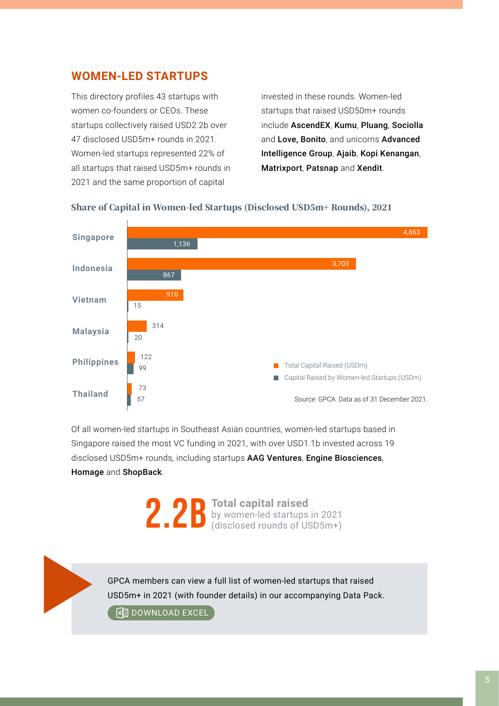# **WOMEN-LED STARTUPS**

This directory profiles 43 startups with women co-founders or CEOs. These startups collectively raised USD2.2b over 47 disclosed USD5m+ rounds in 2021. Women-led startups represented 22% of all startups that raised USD5m+ rounds in 2021 and the same proportion of capital

invested in these rounds. Women-led startups that raised USD50m+ rounds include AscendEX, Kumu, Pluang, Sociolla and Love, Bonito, and unicorns Advanced Intelligence Group, Ajaib, Kopi Kenangan, Matrixport, Patsnap and Xendit.





Of all women-led startups in Southeast Asian countries, women-led startups based in Singapore raised the most VC funding in 2021, with over USD1.1b invested across 19 disclosed USD5m+ rounds, including startups AAG Ventures, Engine Biosciences, Homage and ShopBack.

> 2.2B **Total capital raised**<br>(disclosed rounds of U by women-led startups in 2021 (disclosed rounds of USD5m+)

GPCA members can view a full list of women-led startups that raised USD5m+ in 2021 (with founder details) in our accompanying Data Pack.

**External DOWNLOAD EXCEL**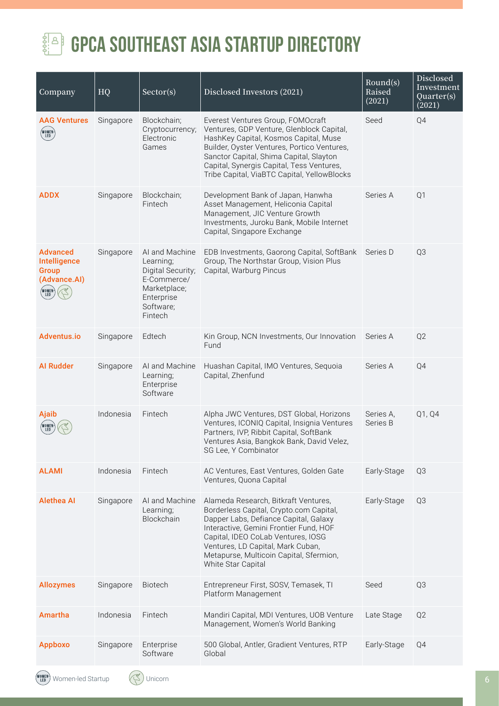

# **GPCA SOUTHEAST ASIA STARTUP DIRECTORY**

| Company                                                                            | HQ        | Sector(s)                                                                                                             | Disclosed Investors (2021)                                                                                                                                                                                                                                                                                     | Round(s)<br>Raised<br>(2021) | Disclosed<br>Investment<br>Quarter(s)<br>(2021) |
|------------------------------------------------------------------------------------|-----------|-----------------------------------------------------------------------------------------------------------------------|----------------------------------------------------------------------------------------------------------------------------------------------------------------------------------------------------------------------------------------------------------------------------------------------------------------|------------------------------|-------------------------------------------------|
| <b>AAG Ventures</b><br>(WOMEN)<br>LED                                              | Singapore | Blockchain;<br>Cryptocurrency;<br>Electronic<br>Games                                                                 | Everest Ventures Group, FOMOcraft<br>Ventures, GDP Venture, Glenblock Capital,<br>HashKey Capital, Kosmos Capital, Muse<br>Builder, Oyster Ventures, Portico Ventures,<br>Sanctor Capital, Shima Capital, Slayton<br>Capital, Synergis Capital, Tess Ventures,<br>Tribe Capital, ViaBTC Capital, YellowBlocks  | Seed                         | Q4                                              |
| <b>ADDX</b>                                                                        | Singapore | Blockchain;<br>Fintech                                                                                                | Development Bank of Japan, Hanwha<br>Asset Management, Heliconia Capital<br>Management, JIC Venture Growth<br>Investments, Juroku Bank, Mobile Internet<br>Capital, Singapore Exchange                                                                                                                         | Series A                     | Q1                                              |
| <b>Advanced</b><br>Intelligence<br><b>Group</b><br>(Advance.AI)<br>(VOMEN)<br>(LED | Singapore | AI and Machine<br>Learning;<br>Digital Security;<br>E-Commerce/<br>Marketplace;<br>Enterprise<br>Software;<br>Fintech | EDB Investments, Gaorong Capital, SoftBank<br>Group, The Northstar Group, Vision Plus<br>Capital, Warburg Pincus                                                                                                                                                                                               | Series D                     | Q3                                              |
| Adventus.io                                                                        | Singapore | Edtech                                                                                                                | Kin Group, NCN Investments, Our Innovation<br>Fund                                                                                                                                                                                                                                                             | Series A                     | Q <sub>2</sub>                                  |
| <b>Al Rudder</b>                                                                   | Singapore | AI and Machine<br>Learning;<br>Enterprise<br>Software                                                                 | Huashan Capital, IMO Ventures, Sequoia<br>Capital, Zhenfund                                                                                                                                                                                                                                                    | Series A                     | Q4                                              |
| Ajaib<br>WOMEN<br><b>LED</b>                                                       | Indonesia | Fintech                                                                                                               | Alpha JWC Ventures, DST Global, Horizons<br>Ventures, ICONIQ Capital, Insignia Ventures<br>Partners, IVP, Ribbit Capital, SoftBank<br>Ventures Asia, Bangkok Bank, David Velez,<br>SG Lee, Y Combinator                                                                                                        | Series A,<br>Series B        | Q1, Q4                                          |
| <b>ALAMI</b>                                                                       | Indonesia | Fintech                                                                                                               | AC Ventures, East Ventures, Golden Gate<br>Ventures, Quona Capital                                                                                                                                                                                                                                             | Early-Stage                  | Q3                                              |
| <b>Alethea Al</b>                                                                  | Singapore | AI and Machine<br>Learning;<br>Blockchain                                                                             | Alameda Research, Bitkraft Ventures,<br>Borderless Capital, Crypto.com Capital,<br>Dapper Labs, Defiance Capital, Galaxy<br>Interactive, Gemini Frontier Fund, HOF<br>Capital, IDEO CoLab Ventures, IOSG<br>Ventures, LD Capital, Mark Cuban,<br>Metapurse, Multicoin Capital, Sfermion,<br>White Star Capital | Early-Stage                  | Q <sub>3</sub>                                  |
| <b>Allozymes</b>                                                                   | Singapore | <b>Biotech</b>                                                                                                        | Entrepreneur First, SOSV, Temasek, TI<br>Platform Management                                                                                                                                                                                                                                                   | Seed                         | Q <sub>3</sub>                                  |
| Amartha                                                                            | Indonesia | Fintech                                                                                                               | Mandiri Capital, MDI Ventures, UOB Venture<br>Management, Women's World Banking                                                                                                                                                                                                                                | Late Stage                   | Q <sub>2</sub>                                  |
| <b>Appboxo</b>                                                                     | Singapore | Enterprise<br>Software                                                                                                | 500 Global, Antler, Gradient Ventures, RTP<br>Global                                                                                                                                                                                                                                                           | Early-Stage                  | Q4                                              |
|                                                                                    |           |                                                                                                                       |                                                                                                                                                                                                                                                                                                                |                              |                                                 |

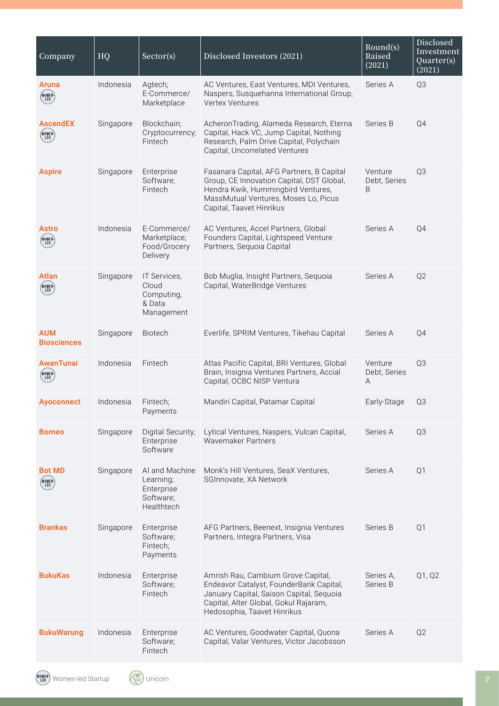| Company                              | HQ        | Sector(s)                                                            | Disclosed Investors (2021)                                                                                                                                                                        | Round(s)<br>Raised<br>(2021) | Disclosed<br>Investment<br>Quarter(s)<br>(2021) |
|--------------------------------------|-----------|----------------------------------------------------------------------|---------------------------------------------------------------------------------------------------------------------------------------------------------------------------------------------------|------------------------------|-------------------------------------------------|
| <b>Aruna</b><br>(WOMEN)<br>(LED      | Indonesia | Agtech;<br>E-Commerce/<br>Marketplace                                | AC Ventures, East Ventures, MDI Ventures,<br>Naspers, Susquehanna International Group,<br>Vertex Ventures                                                                                         | Series A                     | Q3                                              |
| <b>AscendEX</b><br>(WOMEN)<br>(LED   | Singapore | Blockchain;<br>Cryptocurrency;<br>Fintech                            | AcheronTrading, Alameda Research, Eterna<br>Capital, Hack VC, Jump Capital, Nothing<br>Research, Palm Drive Capital, Polychain<br>Capital, Uncorrelated Ventures                                  | Series B                     | Q4                                              |
| <b>Aspire</b>                        | Singapore | Enterprise<br>Software;<br>Fintech                                   | Fasanara Capital, AFG Partners, B Capital<br>Group, CE Innovation Capital, DST Global,<br>Hendra Kwik, Hummingbird Ventures,<br>MassMutual Ventures, Moses Lo, Picus<br>Capital, Taavet Hinrikus  | Venture<br>Debt, Series<br>B | Q3                                              |
| <b>Astro</b><br>(WOMEN)<br>( LED     | Indonesia | E-Commerce/<br>Marketplace;<br>Food/Grocery<br>Delivery              | AC Ventures, Accel Partners, Global<br>Founders Capital, Lightspeed Venture<br>Partners, Sequoia Capital                                                                                          | Series A                     | Q4                                              |
| <b>Atlan</b><br>(WOMEN)<br>( LED )   | Singapore | IT Services,<br>Cloud<br>Computing,<br>& Data<br>Management          | Bob Muglia, Insight Partners, Sequoia<br>Capital, WaterBridge Ventures                                                                                                                            | Series A                     | Q <sub>2</sub>                                  |
| <b>AUM</b><br><b>Biosciences</b>     | Singapore | Biotech                                                              | Everlife, SPRIM Ventures, Tikehau Capital                                                                                                                                                         | Series A                     | Q4                                              |
| <b>AwanTunai</b><br>(WOMEN-)<br>(LED | Indonesia | Fintech                                                              | Atlas Pacific Capital, BRI Ventures, Global<br>Brain, Insignia Ventures Partners, Accial<br>Capital, OCBC NISP Ventura                                                                            | Venture<br>Debt, Series<br>Α | Q3                                              |
| <b>Ayoconnect</b>                    | Indonesia | Fintech:<br>Payments                                                 | Mandiri Capital, Patamar Capital                                                                                                                                                                  | Early-Stage                  | Q3                                              |
| <b>Borneo</b>                        | Singapore | Digital Security;<br>Enterprise<br>Software                          | Lytical Ventures, Naspers, Vulcan Capital,<br>Wavemaker Partners                                                                                                                                  | Series A                     | Q3                                              |
| <b>Bot MD</b><br>(WOMEN-)<br>(LED    | Singapore | AI and Machine<br>Learning;<br>Enterprise<br>Software;<br>Healthtech | Monk's Hill Ventures, SeaX Ventures,<br>SGInnovate, XA Network                                                                                                                                    | Series A                     | Q1                                              |
| <b>Brankas</b>                       | Singapore | Enterprise<br>Software;<br>Fintech;<br>Payments                      | AFG Partners, Beenext, Insignia Ventures<br>Partners, Integra Partners, Visa                                                                                                                      | Series B                     | Q <sub>1</sub>                                  |
| <b>BukuKas</b>                       | Indonesia | Enterprise<br>Software;<br>Fintech                                   | Amrish Rau, Cambium Grove Capital,<br>Endeavor Catalyst, FounderBank Capital,<br>January Capital, Saison Capital, Sequoia<br>Capital, Alter Global, Gokul Rajaram,<br>Hedosophia, Taavet Hinrikus | Series A.<br>Series B        | Q1, Q2                                          |
| <b>BukuWarung</b>                    | Indonesia | Enterprise<br>Software;<br>Fintech                                   | AC Ventures, Goodwater Capital, Quona<br>Capital, Valar Ventures, Victor Jacobsson                                                                                                                | Series A                     | Q <sub>2</sub>                                  |

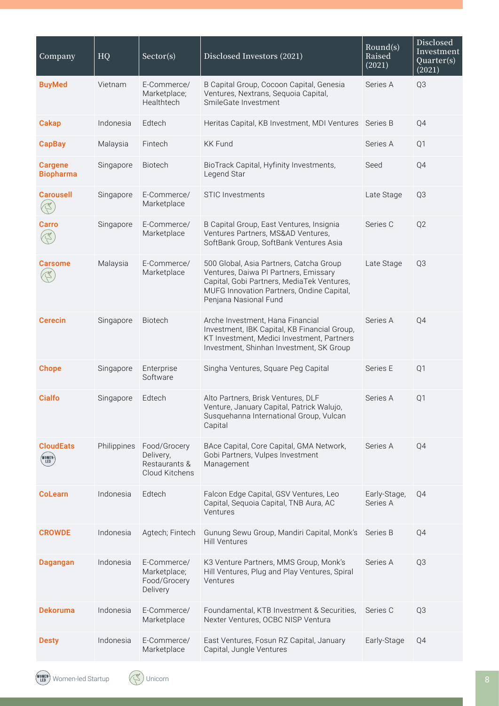| Company                                | HQ          | Sector(s)                                                    | Disclosed Investors (2021)                                                                                                                                                                           | Round(s)<br>Raised<br>(2021) | Disclosed<br>Investment<br>Quarter(s)<br>(2021) |
|----------------------------------------|-------------|--------------------------------------------------------------|------------------------------------------------------------------------------------------------------------------------------------------------------------------------------------------------------|------------------------------|-------------------------------------------------|
| <b>BuyMed</b>                          | Vietnam     | E-Commerce/<br>Marketplace;<br>Healthtech                    | B Capital Group, Cocoon Capital, Genesia<br>Ventures, Nextrans, Sequoia Capital,<br>SmileGate Investment                                                                                             | Series A                     | Q3                                              |
| <b>Cakap</b>                           | Indonesia   | Edtech                                                       | Heritas Capital, KB Investment, MDI Ventures                                                                                                                                                         | Series B                     | Q4                                              |
| <b>CapBay</b>                          | Malaysia    | Fintech                                                      | <b>KK Fund</b>                                                                                                                                                                                       | Series A                     | Q1                                              |
| <b>Cargene</b><br><b>Biopharma</b>     | Singapore   | Biotech                                                      | BioTrack Capital, Hyfinity Investments,<br>Legend Star                                                                                                                                               | Seed                         | Q4                                              |
| <b>Carousell</b>                       | Singapore   | E-Commerce/<br>Marketplace                                   | <b>STIC Investments</b>                                                                                                                                                                              | Late Stage                   | Q3                                              |
| Carro                                  | Singapore   | E-Commerce/<br>Marketplace                                   | B Capital Group, East Ventures, Insignia<br>Ventures Partners, MS&AD Ventures,<br>SoftBank Group, SoftBank Ventures Asia                                                                             | Series C                     | Q <sub>2</sub>                                  |
| <b>Carsome</b>                         | Malaysia    | E-Commerce/<br>Marketplace                                   | 500 Global, Asia Partners, Catcha Group<br>Ventures, Daiwa PI Partners, Emissary<br>Capital, Gobi Partners, MediaTek Ventures,<br>MUFG Innovation Partners, Ondine Capital,<br>Penjana Nasional Fund | Late Stage                   | Q3                                              |
| <b>Cerecin</b>                         | Singapore   | Biotech                                                      | Arche Investment, Hana Financial<br>Investment, IBK Capital, KB Financial Group,<br>KT Investment, Medici Investment, Partners<br>Investment, Shinhan Investment, SK Group                           | Series A                     | Q4                                              |
| <b>Chope</b>                           | Singapore   | Enterprise<br>Software                                       | Singha Ventures, Square Peg Capital                                                                                                                                                                  | Series E                     | Q1                                              |
| <b>Cialfo</b>                          | Singapore   | Edtech                                                       | Alto Partners, Brisk Ventures, DLF<br>Venture, January Capital, Patrick Walujo,<br>Susquehanna International Group, Vulcan<br>Capital                                                                | Series A                     | Q1                                              |
| <b>CloudEats</b><br>(WOMEN)<br>( LED ) | Philippines | Food/Grocery<br>Delivery,<br>Restaurants &<br>Cloud Kitchens | BAce Capital, Core Capital, GMA Network,<br>Gobi Partners, Vulpes Investment<br>Management                                                                                                           | Series A                     | Q4                                              |
| <b>CoLearn</b>                         | Indonesia   | Edtech                                                       | Falcon Edge Capital, GSV Ventures, Leo<br>Capital, Sequoia Capital, TNB Aura, AC<br>Ventures                                                                                                         | Early-Stage,<br>Series A     | Q4                                              |
| <b>CROWDE</b>                          | Indonesia   | Agtech; Fintech                                              | Gunung Sewu Group, Mandiri Capital, Monk's<br><b>Hill Ventures</b>                                                                                                                                   | Series B                     | Q4                                              |
| <b>Dagangan</b>                        | Indonesia   | E-Commerce/<br>Marketplace;<br>Food/Grocery<br>Delivery      | K3 Venture Partners, MMS Group, Monk's<br>Hill Ventures, Plug and Play Ventures, Spiral<br>Ventures                                                                                                  | Series A                     | Q3                                              |
| <b>Dekoruma</b>                        | Indonesia   | E-Commerce/<br>Marketplace                                   | Foundamental, KTB Investment & Securities,<br>Nexter Ventures, OCBC NISP Ventura                                                                                                                     | Series C                     | Q3                                              |
| <b>Desty</b>                           | Indonesia   | E-Commerce/<br>Marketplace                                   | East Ventures, Fosun RZ Capital, January<br>Capital, Jungle Ventures                                                                                                                                 | Early-Stage                  | Q4                                              |

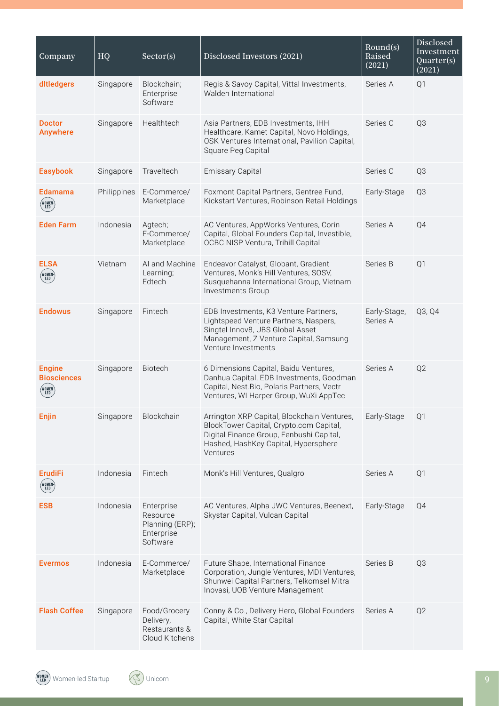| Company                                                 | HQ          | Sector(s)                                                           | Disclosed Investors (2021)                                                                                                                                                             | Round(s)<br>Raised<br>(2021) | <b>Disclosed</b><br>Investment<br>$\overline{Quarter(s)}$<br>(2021) |
|---------------------------------------------------------|-------------|---------------------------------------------------------------------|----------------------------------------------------------------------------------------------------------------------------------------------------------------------------------------|------------------------------|---------------------------------------------------------------------|
| ditledgers                                              | Singapore   | Blockchain;<br>Enterprise<br>Software                               | Regis & Savoy Capital, Vittal Investments,<br>Walden International                                                                                                                     | Series A                     | Q1                                                                  |
| <b>Doctor</b><br><b>Anywhere</b>                        | Singapore   | Healthtech                                                          | Asia Partners, EDB Investments, IHH<br>Healthcare, Kamet Capital, Novo Holdings,<br>OSK Ventures International, Pavilion Capital,<br>Square Peg Capital                                | Series C                     | Q3                                                                  |
| <b>Easybook</b>                                         | Singapore   | Traveltech                                                          | <b>Emissary Capital</b>                                                                                                                                                                | Series C                     | Q3                                                                  |
| Edamama<br>(WOMEN)<br>LED                               | Philippines | E-Commerce/<br>Marketplace                                          | Foxmont Capital Partners, Gentree Fund,<br>Kickstart Ventures, Robinson Retail Holdings                                                                                                | Early-Stage                  | Q3                                                                  |
| <b>Eden Farm</b>                                        | Indonesia   | Agtech;<br>E-Commerce/<br>Marketplace                               | AC Ventures, AppWorks Ventures, Corin<br>Capital, Global Founders Capital, Investible,<br>OCBC NISP Ventura, Trihill Capital                                                           | Series A                     | Q4                                                                  |
| <b>ELSA</b><br>(WOMEN <sup>)</sup><br>LED               | Vietnam     | AI and Machine<br>Learning;<br>Edtech                               | Endeavor Catalyst, Globant, Gradient<br>Ventures, Monk's Hill Ventures, SOSV,<br>Susquehanna International Group, Vietnam<br>Investments Group                                         | Series B                     | Q1                                                                  |
| <b>Endowus</b>                                          | Singapore   | Fintech                                                             | EDB Investments, K3 Venture Partners,<br>Lightspeed Venture Partners, Naspers,<br>Singtel Innov8, UBS Global Asset<br>Management, Z Venture Capital, Samsung<br>Venture Investments    | Early-Stage,<br>Series A     | Q3, Q4                                                              |
| <b>Engine</b><br><b>Biosciences</b><br>(WOMEN)<br>(LED) | Singapore   | Biotech                                                             | 6 Dimensions Capital, Baidu Ventures,<br>Danhua Capital, EDB Investments, Goodman<br>Capital, Nest.Bio, Polaris Partners, Vectr<br>Ventures, WI Harper Group, WuXi AppTec              | Series A                     | Q <sub>2</sub>                                                      |
| Enjin                                                   | Singapore   | Blockchain                                                          | Arrington XRP Capital, Blockchain Ventures,<br>BlockTower Capital, Crypto.com Capital,<br>Digital Finance Group, Fenbushi Capital,<br>Hashed, HashKey Capital, Hypersphere<br>Ventures | Early-Stage                  | Q <sub>1</sub>                                                      |
| <b>ErudiFi</b><br>(WOMEN)<br>(LED)                      | Indonesia   | Fintech                                                             | Monk's Hill Ventures, Qualgro                                                                                                                                                          | Series A                     | Q <sub>1</sub>                                                      |
| <b>ESB</b>                                              | Indonesia   | Enterprise<br>Resource<br>Planning (ERP);<br>Enterprise<br>Software | AC Ventures, Alpha JWC Ventures, Beenext,<br>Skystar Capital, Vulcan Capital                                                                                                           | Early-Stage                  | Q4                                                                  |
| <b>Evermos</b>                                          | Indonesia   | E-Commerce/<br>Marketplace                                          | Future Shape, International Finance<br>Corporation, Jungle Ventures, MDI Ventures,<br>Shunwei Capital Partners, Telkomsel Mitra<br>Inovasi, UOB Venture Management                     | Series B                     | Q <sub>3</sub>                                                      |
| <b>Flash Coffee</b>                                     | Singapore   | Food/Grocery<br>Delivery,<br>Restaurants &<br>Cloud Kitchens        | Conny & Co., Delivery Hero, Global Founders<br>Capital, White Star Capital                                                                                                             | Series A                     | Q <sub>2</sub>                                                      |

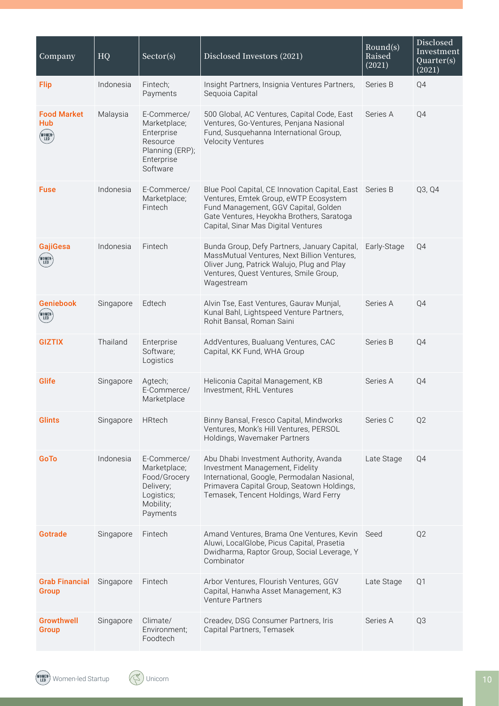| Company                                     | HQ        | Sector(s)                                                                                          | Disclosed Investors (2021)                                                                                                                                                                                                   | Round(s)<br>Raised<br>(2021) | Disclosed<br>Investment<br>Quarter(s)<br>(2021) |
|---------------------------------------------|-----------|----------------------------------------------------------------------------------------------------|------------------------------------------------------------------------------------------------------------------------------------------------------------------------------------------------------------------------------|------------------------------|-------------------------------------------------|
| <b>Flip</b>                                 | Indonesia | Fintech;<br>Payments                                                                               | Insight Partners, Insignia Ventures Partners,<br>Sequoia Capital                                                                                                                                                             | Series B                     | Q4                                              |
| <b>Food Market</b><br>Hub<br>(WOMEN)<br>LED | Malaysia  | E-Commerce/<br>Marketplace;<br>Enterprise<br>Resource<br>Planning (ERP);<br>Enterprise<br>Software | 500 Global, AC Ventures, Capital Code, East<br>Ventures, Go-Ventures, Penjana Nasional<br>Fund, Susquehanna International Group,<br><b>Velocity Ventures</b>                                                                 | Series A                     | Q4                                              |
| <b>Fuse</b>                                 | Indonesia | E-Commerce/<br>Marketplace;<br>Fintech                                                             | Blue Pool Capital, CE Innovation Capital, East Series B<br>Ventures, Emtek Group, eWTP Ecosystem<br>Fund Management, GGV Capital, Golden<br>Gate Ventures, Heyokha Brothers, Saratoga<br>Capital, Sinar Mas Digital Ventures |                              | Q3, Q4                                          |
| <b>GajiGesa</b><br>(WOMEN)<br>LED           | Indonesia | Fintech                                                                                            | Bunda Group, Defy Partners, January Capital,<br>MassMutual Ventures, Next Billion Ventures,<br>Oliver Jung, Patrick Walujo, Plug and Play<br>Ventures, Quest Ventures, Smile Group,<br>Wagestream                            | Early-Stage                  | Q4                                              |
| <b>Geniebook</b><br>(WOMEN)<br>(LED         | Singapore | Edtech                                                                                             | Alvin Tse, East Ventures, Gaurav Munjal,<br>Kunal Bahl, Lightspeed Venture Partners,<br>Rohit Bansal, Roman Saini                                                                                                            | Series A                     | Q4                                              |
| <b>GIZTIX</b>                               | Thailand  | Enterprise<br>Software;<br>Logistics                                                               | AddVentures, Bualuang Ventures, CAC<br>Capital, KK Fund, WHA Group                                                                                                                                                           | Series B                     | Q4                                              |
| Glife                                       | Singapore | Agtech;<br>E-Commerce/<br>Marketplace                                                              | Heliconia Capital Management, KB<br>Investment, RHL Ventures                                                                                                                                                                 | Series A                     | Q4                                              |
| <b>Glints</b>                               | Singapore | <b>HRtech</b>                                                                                      | Binny Bansal, Fresco Capital, Mindworks<br>Ventures, Monk's Hill Ventures, PERSOL<br>Holdings, Wavemaker Partners                                                                                                            | Series C                     | Q <sub>2</sub>                                  |
| GoTo                                        | Indonesia | E-Commerce/<br>Marketplace;<br>Food/Grocery<br>Delivery;<br>Logistics;<br>Mobility;<br>Payments    | Abu Dhabi Investment Authority, Avanda<br>Investment Management, Fidelity<br>International, Google, Permodalan Nasional,<br>Primavera Capital Group, Seatown Holdings,<br>Temasek, Tencent Holdings, Ward Ferry              | Late Stage                   | Q4                                              |
| <b>Gotrade</b>                              | Singapore | Fintech                                                                                            | Amand Ventures, Brama One Ventures, Kevin Seed<br>Aluwi, LocalGlobe, Picus Capital, Prasetia<br>Dwidharma, Raptor Group, Social Leverage, Y<br>Combinator                                                                    |                              | Q <sub>2</sub>                                  |
| <b>Grab Financial</b><br><b>Group</b>       | Singapore | Fintech                                                                                            | Arbor Ventures, Flourish Ventures, GGV<br>Capital, Hanwha Asset Management, K3<br>Venture Partners                                                                                                                           | Late Stage                   | Q <sub>1</sub>                                  |
| <b>Growthwell</b><br><b>Group</b>           | Singapore | Climate/<br>Environment;<br>Foodtech                                                               | Creadev, DSG Consumer Partners, Iris<br>Capital Partners, Temasek                                                                                                                                                            | Series A                     | Q3                                              |

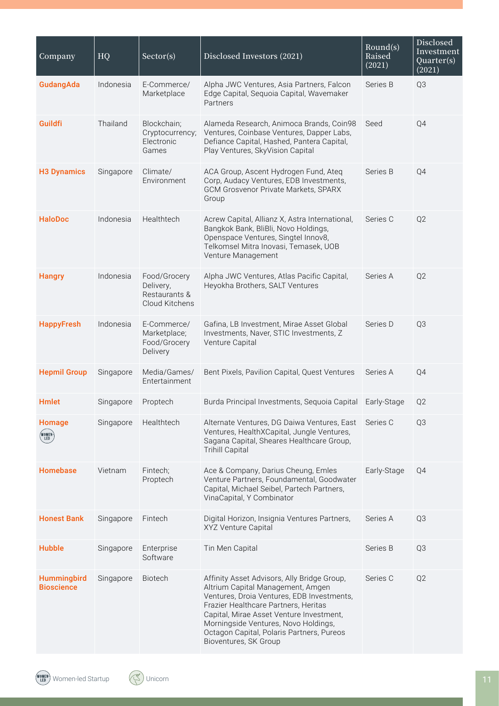| Company                          | HQ        | Sector(s)                                                    | Disclosed Investors (2021)                                                                                                                                                                                                                                                                                                       | Round(s)<br>Raised<br>(2021) | <b>Disclosed</b><br>Investment<br>Quarter(s)<br>(2021) |
|----------------------------------|-----------|--------------------------------------------------------------|----------------------------------------------------------------------------------------------------------------------------------------------------------------------------------------------------------------------------------------------------------------------------------------------------------------------------------|------------------------------|--------------------------------------------------------|
| GudangAda                        | Indonesia | E-Commerce/<br>Marketplace                                   | Alpha JWC Ventures, Asia Partners, Falcon<br>Edge Capital, Sequoia Capital, Wavemaker<br>Partners                                                                                                                                                                                                                                | Series B                     | Q3                                                     |
| Guildfi                          | Thailand  | Blockchain;<br>Cryptocurrency;<br>Electronic<br>Games        | Alameda Research, Animoca Brands, Coin98<br>Ventures, Coinbase Ventures, Dapper Labs,<br>Defiance Capital, Hashed, Pantera Capital,<br>Play Ventures, SkyVision Capital                                                                                                                                                          | Seed                         | Q4                                                     |
| <b>H3 Dynamics</b>               | Singapore | Climate/<br>Environment                                      | ACA Group, Ascent Hydrogen Fund, Ateq<br>Corp, Audacy Ventures, EDB Investments,<br>GCM Grosvenor Private Markets, SPARX<br>Group                                                                                                                                                                                                | Series B                     | Q4                                                     |
| <b>HaloDoc</b>                   | Indonesia | Healthtech                                                   | Acrew Capital, Allianz X, Astra International,<br>Bangkok Bank, BliBli, Novo Holdings,<br>Openspace Ventures, Singtel Innov8,<br>Telkomsel Mitra Inovasi, Temasek, UOB<br>Venture Management                                                                                                                                     | Series C                     | Q <sub>2</sub>                                         |
| <b>Hangry</b>                    | Indonesia | Food/Grocery<br>Delivery,<br>Restaurants &<br>Cloud Kitchens | Alpha JWC Ventures, Atlas Pacific Capital,<br>Heyokha Brothers, SALT Ventures                                                                                                                                                                                                                                                    | Series A                     | Q <sub>2</sub>                                         |
| <b>HappyFresh</b>                | Indonesia | E-Commerce/<br>Marketplace;<br>Food/Grocery<br>Delivery      | Gafina, LB Investment, Mirae Asset Global<br>Investments, Naver, STIC Investments, Z<br>Venture Capital                                                                                                                                                                                                                          | Series D                     | Q3                                                     |
| <b>Hepmil Group</b>              | Singapore | Media/Games/<br>Entertainment                                | Bent Pixels, Pavilion Capital, Quest Ventures                                                                                                                                                                                                                                                                                    | Series A                     | Q4                                                     |
| <b>Hmlet</b>                     | Singapore | Proptech                                                     | Burda Principal Investments, Sequoia Capital                                                                                                                                                                                                                                                                                     | Early-Stage                  | Q <sub>2</sub>                                         |
| Homage<br>(WOMEN)<br>\ LED       | Singapore | Healthtech                                                   | Alternate Ventures, DG Daiwa Ventures, East<br>Ventures, HealthXCapital, Jungle Ventures,<br>Sagana Capital, Sheares Healthcare Group,<br><b>Trihill Capital</b>                                                                                                                                                                 | Series C                     | Q3                                                     |
| <b>Homebase</b>                  | Vietnam   | Fintech;<br>Proptech                                         | Ace & Company, Darius Cheung, Emles<br>Venture Partners, Foundamental, Goodwater<br>Capital, Michael Seibel, Partech Partners,<br>VinaCapital, Y Combinator                                                                                                                                                                      | Early-Stage                  | Q4                                                     |
| <b>Honest Bank</b>               | Singapore | Fintech                                                      | Digital Horizon, Insignia Ventures Partners,<br>XYZ Venture Capital                                                                                                                                                                                                                                                              | Series A                     | Q3                                                     |
| <b>Hubble</b>                    | Singapore | Enterprise<br>Software                                       | Tin Men Capital                                                                                                                                                                                                                                                                                                                  | Series B                     | Q3                                                     |
| Hummingbird<br><b>Bioscience</b> | Singapore | <b>Biotech</b>                                               | Affinity Asset Advisors, Ally Bridge Group,<br>Altrium Capital Management, Amgen<br>Ventures, Droia Ventures, EDB Investments,<br>Frazier Healthcare Partners, Heritas<br>Capital, Mirae Asset Venture Investment,<br>Morningside Ventures, Novo Holdings,<br>Octagon Capital, Polaris Partners, Pureos<br>Bioventures, SK Group | Series C                     | Q <sub>2</sub>                                         |

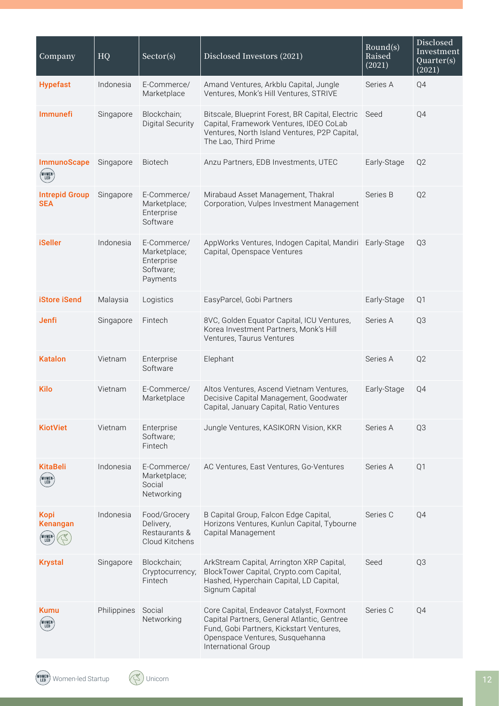| Company                                                                              | HQ          | Sector(s)                                                          | Disclosed Investors (2021)                                                                                                                                                                    | Round(s)<br>Raised<br>(2021) | Disclosed<br>Investment<br>Quarter(s)<br>(2021) |
|--------------------------------------------------------------------------------------|-------------|--------------------------------------------------------------------|-----------------------------------------------------------------------------------------------------------------------------------------------------------------------------------------------|------------------------------|-------------------------------------------------|
| <b>Hypefast</b>                                                                      | Indonesia   | E-Commerce/<br>Marketplace                                         | Amand Ventures, Arkblu Capital, Jungle<br>Ventures, Monk's Hill Ventures, STRIVE                                                                                                              | Series A                     | Q4                                              |
| <b>Immunefi</b>                                                                      | Singapore   | Blockchain;<br><b>Digital Security</b>                             | Bitscale, Blueprint Forest, BR Capital, Electric<br>Capital, Framework Ventures, IDEO CoLab<br>Ventures, North Island Ventures, P2P Capital,<br>The Lao, Third Prime                          | Seed                         | Q4                                              |
| <b>ImmunoScape</b><br>$\begin{pmatrix} \texttt{WOMEN} \\ \texttt{LED} \end{pmatrix}$ | Singapore   | Biotech                                                            | Anzu Partners, EDB Investments, UTEC                                                                                                                                                          | Early-Stage                  | Q2                                              |
| <b>Intrepid Group</b><br><b>SEA</b>                                                  | Singapore   | E-Commerce/<br>Marketplace;<br>Enterprise<br>Software              | Mirabaud Asset Management, Thakral<br>Corporation, Vulpes Investment Management                                                                                                               | Series B                     | Q <sub>2</sub>                                  |
| <b>iSeller</b>                                                                       | Indonesia   | E-Commerce/<br>Marketplace;<br>Enterprise<br>Software;<br>Payments | AppWorks Ventures, Indogen Capital, Mandiri Early-Stage<br>Capital, Openspace Ventures                                                                                                        |                              | Q3                                              |
| <b>iStore iSend</b>                                                                  | Malaysia    | Logistics                                                          | EasyParcel, Gobi Partners                                                                                                                                                                     | Early-Stage                  | Q <sub>1</sub>                                  |
| Jenfi                                                                                | Singapore   | Fintech                                                            | 8VC, Golden Equator Capital, ICU Ventures,<br>Korea Investment Partners, Monk's Hill<br>Ventures, Taurus Ventures                                                                             | Series A                     | Q3                                              |
| <b>Katalon</b>                                                                       | Vietnam     | Enterprise<br>Software                                             | Elephant                                                                                                                                                                                      | Series A                     | Q <sub>2</sub>                                  |
| <b>Kilo</b>                                                                          | Vietnam     | E-Commerce/<br>Marketplace                                         | Altos Ventures, Ascend Vietnam Ventures,<br>Decisive Capital Management, Goodwater<br>Capital, January Capital, Ratio Ventures                                                                | Early-Stage                  | Q4                                              |
| <b>KiotViet</b>                                                                      | Vietnam     | Enterprise<br>Software;<br>Fintech                                 | Jungle Ventures, KASIKORN Vision, KKR                                                                                                                                                         | Series A                     | Q3                                              |
| <b>KitaBeli</b><br>(WOMEN)<br>(LED                                                   | Indonesia   | E-Commerce/<br>Marketplace;<br>Social<br>Networking                | AC Ventures, East Ventures, Go-Ventures                                                                                                                                                       | Series A                     | Q1                                              |
| Kopi<br>Kenangan<br>WOMEN                                                            | Indonesia   | Food/Grocery<br>Delivery,<br>Restaurants &<br>Cloud Kitchens       | B Capital Group, Falcon Edge Capital,<br>Horizons Ventures, Kunlun Capital, Tybourne<br>Capital Management                                                                                    | Series C                     | Q4                                              |
| <b>Krystal</b>                                                                       | Singapore   | Blockchain;<br>Cryptocurrency;<br>Fintech                          | ArkStream Capital, Arrington XRP Capital,<br>BlockTower Capital, Crypto.com Capital,<br>Hashed, Hyperchain Capital, LD Capital,<br>Signum Capital                                             | Seed                         | Q <sub>3</sub>                                  |
| <b>Kumu</b><br>WOMEN <sup>.</sup>                                                    | Philippines | Social<br>Networking                                               | Core Capital, Endeavor Catalyst, Foxmont<br>Capital Partners, General Atlantic, Gentree<br>Fund, Gobi Partners, Kickstart Ventures,<br>Openspace Ventures, Susquehanna<br>International Group | Series C                     | Q4                                              |

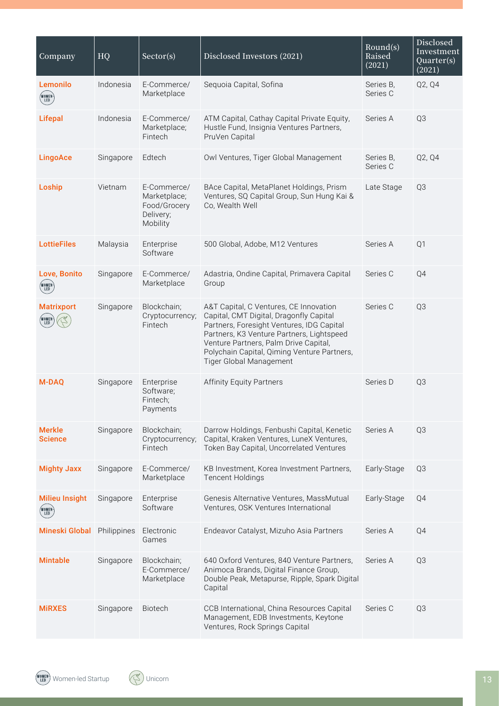| Company                                         | HQ          | Sector(s)                                                            | Disclosed Investors (2021)                                                                                                                                                                                                                                                                     | Round(s)<br>Raised<br>(2021) | Disclosed<br>Investment<br>Quarter(s)<br>(2021) |
|-------------------------------------------------|-------------|----------------------------------------------------------------------|------------------------------------------------------------------------------------------------------------------------------------------------------------------------------------------------------------------------------------------------------------------------------------------------|------------------------------|-------------------------------------------------|
| Lemonilo<br>(WOMEN)<br>(LED                     | Indonesia   | E-Commerce/<br>Marketplace                                           | Sequoia Capital, Sofina                                                                                                                                                                                                                                                                        | Series B,<br>Series C        | Q2, Q4                                          |
| <b>Lifepal</b>                                  | Indonesia   | E-Commerce/<br>Marketplace;<br>Fintech                               | ATM Capital, Cathay Capital Private Equity,<br>Hustle Fund, Insignia Ventures Partners,<br>PruVen Capital                                                                                                                                                                                      | Series A                     | Q3                                              |
| <b>LingoAce</b>                                 | Singapore   | Edtech                                                               | Owl Ventures, Tiger Global Management                                                                                                                                                                                                                                                          | Series B.<br>Series C        | Q2, Q4                                          |
| Loship                                          | Vietnam     | E-Commerce/<br>Marketplace;<br>Food/Grocery<br>Delivery;<br>Mobility | BAce Capital, MetaPlanet Holdings, Prism<br>Ventures, SQ Capital Group, Sun Hung Kai &<br>Co, Wealth Well                                                                                                                                                                                      | Late Stage                   | Q3                                              |
| <b>LottieFiles</b>                              | Malaysia    | Enterprise<br>Software                                               | 500 Global, Adobe, M12 Ventures                                                                                                                                                                                                                                                                | Series A                     | Q1                                              |
| Love, Bonito<br>(WOMEN-)<br>(LED                | Singapore   | E-Commerce/<br>Marketplace                                           | Adastria, Ondine Capital, Primavera Capital<br>Group                                                                                                                                                                                                                                           | Series C                     | Q4                                              |
| <b>Matrixport</b><br>(WOMEN <sup>)</sup><br>Led | Singapore   | Blockchain;<br>Cryptocurrency;<br>Fintech                            | A&T Capital, C Ventures, CE Innovation<br>Capital, CMT Digital, Dragonfly Capital<br>Partners, Foresight Ventures, IDG Capital<br>Partners, K3 Venture Partners, Lightspeed<br>Venture Partners, Palm Drive Capital,<br>Polychain Capital, Qiming Venture Partners,<br>Tiger Global Management | Series C                     | Q3                                              |
| <b>M-DAQ</b>                                    | Singapore   | Enterprise<br>Software;<br>Fintech;<br>Payments                      | <b>Affinity Equity Partners</b>                                                                                                                                                                                                                                                                | Series D                     | Q3                                              |
| <b>Merkle</b><br><b>Science</b>                 | Singapore   | Blockchain;<br>Cryptocurrency;<br>Fintech                            | Darrow Holdings, Fenbushi Capital, Kenetic<br>Capital, Kraken Ventures, LuneX Ventures,<br>Token Bay Capital, Uncorrelated Ventures                                                                                                                                                            | Series A                     | Q3                                              |
| <b>Mighty Jaxx</b>                              | Singapore   | E-Commerce/<br>Marketplace                                           | KB Investment, Korea Investment Partners,<br><b>Tencent Holdings</b>                                                                                                                                                                                                                           | Early-Stage                  | Q3                                              |
| <b>Milieu Insight</b><br>(WOMEN)<br>(LED        | Singapore   | Enterprise<br>Software                                               | Genesis Alternative Ventures, MassMutual<br>Ventures, OSK Ventures International                                                                                                                                                                                                               | Early-Stage                  | Q4                                              |
| <b>Mineski Global</b>                           | Philippines | Electronic<br>Games                                                  | Endeavor Catalyst, Mizuho Asia Partners                                                                                                                                                                                                                                                        | Series A                     | Q4                                              |
| <b>Mintable</b>                                 | Singapore   | Blockchain;<br>E-Commerce/<br>Marketplace                            | 640 Oxford Ventures, 840 Venture Partners,<br>Animoca Brands, Digital Finance Group,<br>Double Peak, Metapurse, Ripple, Spark Digital<br>Capital                                                                                                                                               | Series A                     | Q3                                              |
| <b>MIRXES</b>                                   | Singapore   | Biotech                                                              | CCB International, China Resources Capital<br>Management, EDB Investments, Keytone<br>Ventures, Rock Springs Capital                                                                                                                                                                           | Series C                     | Q3                                              |

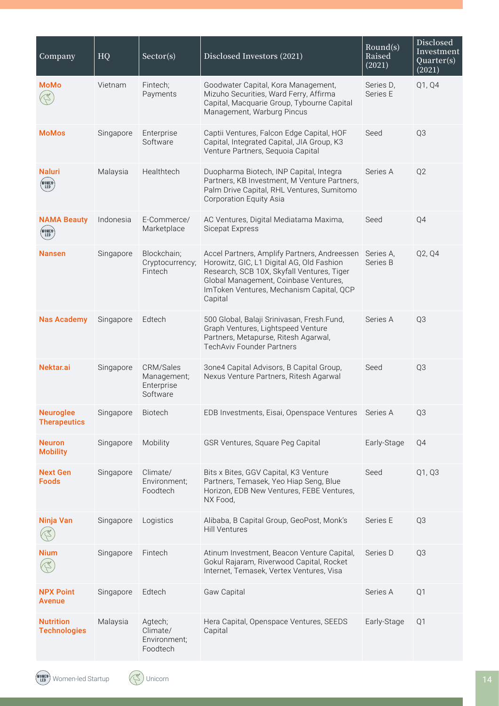| Company                                 | HQ        | Sector(s)                                          | Disclosed Investors (2021)                                                                                                                                                                                                              | Round(s)<br>Raised<br>(2021) | Disclosed<br>Investment<br>$\overline{Quarter(s)}$<br>(2021) |
|-----------------------------------------|-----------|----------------------------------------------------|-----------------------------------------------------------------------------------------------------------------------------------------------------------------------------------------------------------------------------------------|------------------------------|--------------------------------------------------------------|
| <b>MoMo</b>                             | Vietnam   | Fintech:<br>Payments                               | Goodwater Capital, Kora Management,<br>Mizuho Securities, Ward Ferry, Affirma<br>Capital, Macquarie Group, Tybourne Capital<br>Management, Warburg Pincus                                                                               | Series D,<br>Series E        | Q1, Q4                                                       |
| <b>MoMos</b>                            | Singapore | Enterprise<br>Software                             | Captii Ventures, Falcon Edge Capital, HOF<br>Capital, Integrated Capital, JIA Group, K3<br>Venture Partners, Sequoia Capital                                                                                                            | Seed                         | Q3                                                           |
| <b>Naluri</b><br>(WOMEN)<br>(LED)       | Malaysia  | Healthtech                                         | Duopharma Biotech, INP Capital, Integra<br>Partners, KB Investment, M Venture Partners,<br>Palm Drive Capital, RHL Ventures, Sumitomo<br><b>Corporation Equity Asia</b>                                                                 | Series A                     | Q <sub>2</sub>                                               |
| <b>NAMA Beauty</b><br>(WOMEN)<br>LED    | Indonesia | E-Commerce/<br>Marketplace                         | AC Ventures, Digital Mediatama Maxima,<br>Sicepat Express                                                                                                                                                                               | Seed                         | Q4                                                           |
| <b>Nansen</b>                           | Singapore | Blockchain;<br>Cryptocurrency;<br>Fintech          | Accel Partners, Amplify Partners, Andreessen<br>Horowitz, GIC, L1 Digital AG, Old Fashion<br>Research, SCB 10X, Skyfall Ventures, Tiger<br>Global Management, Coinbase Ventures,<br>ImToken Ventures, Mechanism Capital, QCP<br>Capital | Series A.<br>Series B        | Q2, Q4                                                       |
| <b>Nas Academy</b>                      | Singapore | Edtech                                             | 500 Global, Balaji Srinivasan, Fresh.Fund,<br>Graph Ventures, Lightspeed Venture<br>Partners, Metapurse, Ritesh Agarwal,<br><b>TechAviv Founder Partners</b>                                                                            | Series A                     | Q3                                                           |
| Nektar.ai                               | Singapore | CRM/Sales<br>Management;<br>Enterprise<br>Software | 3one4 Capital Advisors, B Capital Group,<br>Nexus Venture Partners, Ritesh Agarwal                                                                                                                                                      | Seed                         | Q3                                                           |
| <b>Neuroglee</b><br><b>Therapeutics</b> | Singapore | Biotech                                            | EDB Investments, Eisai, Openspace Ventures                                                                                                                                                                                              | Series A                     | Q3                                                           |
| <b>Neuron</b><br><b>Mobility</b>        | Singapore | Mobility                                           | GSR Ventures, Square Peg Capital                                                                                                                                                                                                        | Early-Stage                  | Q4                                                           |
| <b>Next Gen</b><br><b>Foods</b>         | Singapore | Climate/<br>Environment;<br>Foodtech               | Bits x Bites, GGV Capital, K3 Venture<br>Partners, Temasek, Yeo Hiap Seng, Blue<br>Horizon, EDB New Ventures, FEBE Ventures,<br>NX Food,                                                                                                | Seed                         | Q1, Q3                                                       |
| Ninja Van                               | Singapore | Logistics                                          | Alibaba, B Capital Group, GeoPost, Monk's<br><b>Hill Ventures</b>                                                                                                                                                                       | Series E                     | Q3                                                           |
| <b>Nium</b>                             | Singapore | Fintech                                            | Atinum Investment, Beacon Venture Capital,<br>Gokul Rajaram, Riverwood Capital, Rocket<br>Internet, Temasek, Vertex Ventures, Visa                                                                                                      | Series D                     | Q3                                                           |
| <b>NPX Point</b><br><b>Avenue</b>       | Singapore | Edtech                                             | Gaw Capital                                                                                                                                                                                                                             | Series A                     | Q1                                                           |
| <b>Nutrition</b><br><b>Technologies</b> | Malaysia  | Agtech;<br>Climate/<br>Environment;<br>Foodtech    | Hera Capital, Openspace Ventures, SEEDS<br>Capital                                                                                                                                                                                      | Early-Stage                  | Q1                                                           |

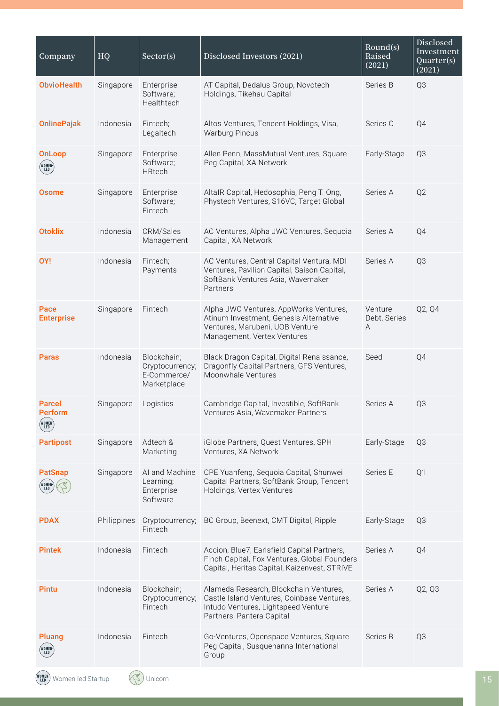| Company                                      | HQ          | Sector(s)                                                    | Disclosed Investors (2021)                                                                                                                               | Round(s)<br>Raised<br>(2021) | Disclosed<br>Investment<br>Quarter(s)<br>(2021) |
|----------------------------------------------|-------------|--------------------------------------------------------------|----------------------------------------------------------------------------------------------------------------------------------------------------------|------------------------------|-------------------------------------------------|
| <b>ObvioHealth</b>                           | Singapore   | Enterprise<br>Software;<br>Healthtech                        | AT Capital, Dedalus Group, Novotech<br>Holdings, Tikehau Capital                                                                                         | Series B                     | Q3                                              |
| <b>OnlinePajak</b>                           | Indonesia   | Fintech;<br>Legaltech                                        | Altos Ventures, Tencent Holdings, Visa,<br><b>Warburg Pincus</b>                                                                                         | Series C                     | Q4                                              |
| <b>OnLoop</b><br>(WOMEN)<br>(LED             | Singapore   | Enterprise<br>Software;<br>HRtech                            | Allen Penn, MassMutual Ventures, Square<br>Peg Capital, XA Network                                                                                       | Early-Stage                  | Q <sub>3</sub>                                  |
| Osome                                        | Singapore   | Enterprise<br>Software;<br>Fintech                           | AltaIR Capital, Hedosophia, Peng T. Ong,<br>Phystech Ventures, S16VC, Target Global                                                                      | Series A                     | Q2                                              |
| <b>Otoklix</b>                               | Indonesia   | CRM/Sales<br>Management                                      | AC Ventures, Alpha JWC Ventures, Sequoia<br>Capital, XA Network                                                                                          | Series A                     | Q4                                              |
| OY!                                          | Indonesia   | Fintech;<br>Payments                                         | AC Ventures, Central Capital Ventura, MDI<br>Ventures, Pavilion Capital, Saison Capital,<br>SoftBank Ventures Asia, Wavemaker<br>Partners                | Series A                     | Q3                                              |
| Pace<br><b>Enterprise</b>                    | Singapore   | Fintech                                                      | Alpha JWC Ventures, AppWorks Ventures,<br>Atinum Investment, Genesis Alternative<br>Ventures, Marubeni, UOB Venture<br>Management, Vertex Ventures       | Venture<br>Debt, Series<br>Α | Q2, Q4                                          |
| <b>Paras</b>                                 | Indonesia   | Blockchain;<br>Cryptocurrency;<br>E-Commerce/<br>Marketplace | Black Dragon Capital, Digital Renaissance,<br>Dragonfly Capital Partners, GFS Ventures,<br>Moonwhale Ventures                                            | Seed                         | Q4                                              |
| Parcel<br><b>Perform</b><br>(WOMEN)<br>(LED) | Singapore   | Logistics                                                    | Cambridge Capital, Investible, SoftBank<br>Ventures Asia, Wavemaker Partners                                                                             | Series A                     | Q3                                              |
| <b>Partipost</b>                             | Singapore   | Adtech &<br>Marketing                                        | iGlobe Partners, Quest Ventures, SPH<br>Ventures, XA Network                                                                                             | Early-Stage                  | Q3                                              |
| <b>PatSnap</b><br>,<br>Women<br>Led          | Singapore   | AI and Machine<br>Learning;<br>Enterprise<br>Software        | CPE Yuanfeng, Sequoia Capital, Shunwei<br>Capital Partners, SoftBank Group, Tencent<br>Holdings, Vertex Ventures                                         | Series E                     | Q1                                              |
| <b>PDAX</b>                                  | Philippines | Cryptocurrency;<br>Fintech                                   | BC Group, Beenext, CMT Digital, Ripple                                                                                                                   | Early-Stage                  | Q3                                              |
| <b>Pintek</b>                                | Indonesia   | Fintech                                                      | Accion, Blue7, Earlsfield Capital Partners,<br>Finch Capital, Fox Ventures, Global Founders<br>Capital, Heritas Capital, Kaizenvest, STRIVE              | Series A                     | Q4                                              |
| Pintu                                        | Indonesia   | Blockchain;<br>Cryptocurrency;<br>Fintech                    | Alameda Research, Blockchain Ventures,<br>Castle Island Ventures, Coinbase Ventures,<br>Intudo Ventures, Lightspeed Venture<br>Partners, Pantera Capital | Series A                     | Q2, Q3                                          |
| Pluang<br>(WOMEN)<br>( LED )                 | Indonesia   | Fintech                                                      | Go-Ventures, Openspace Ventures, Square<br>Peg Capital, Susquehanna International<br>Group                                                               | Series B                     | Q3                                              |
| WOMEN)<br>Led<br>Women-led Startup           |             | <b>Jnicorn</b>                                               |                                                                                                                                                          |                              |                                                 |

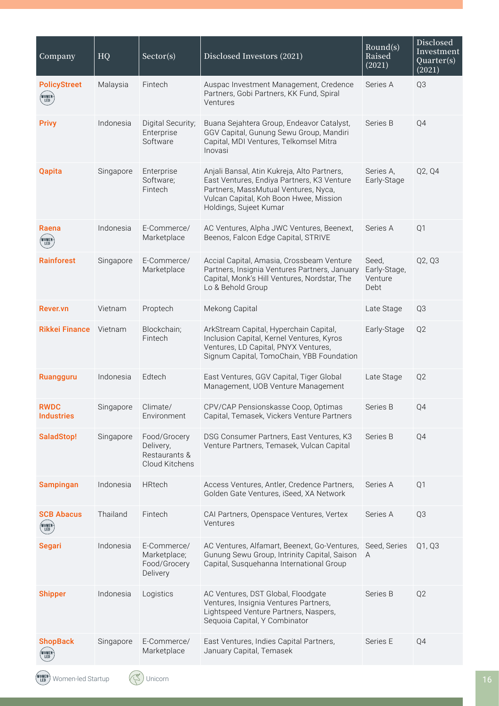| Company                                | HQ        | Sector(s)                                                    | Disclosed Investors (2021)                                                                                                                                                                            | Round(s)<br>Raised<br>(2021)             | Disclosed<br>Investment<br>Quarter(s)<br>(2021) |
|----------------------------------------|-----------|--------------------------------------------------------------|-------------------------------------------------------------------------------------------------------------------------------------------------------------------------------------------------------|------------------------------------------|-------------------------------------------------|
| <b>PolicyStreet</b><br>(WOMEN)<br>(LED | Malaysia  | Fintech                                                      | Auspac Investment Management, Credence<br>Partners, Gobi Partners, KK Fund, Spiral<br>Ventures                                                                                                        | Series A                                 | Q3                                              |
| <b>Privy</b>                           | Indonesia | Digital Security;<br>Enterprise<br>Software                  | Buana Sejahtera Group, Endeavor Catalyst,<br>GGV Capital, Gunung Sewu Group, Mandiri<br>Capital, MDI Ventures, Telkomsel Mitra<br>Inovasi                                                             | Series B                                 | Q4                                              |
| <b>Qapita</b>                          | Singapore | Enterprise<br>Software;<br>Fintech                           | Anjali Bansal, Atin Kukreja, Alto Partners,<br>East Ventures, Endiya Partners, K3 Venture<br>Partners, MassMutual Ventures, Nyca,<br>Vulcan Capital, Koh Boon Hwee, Mission<br>Holdings, Sujeet Kumar | Series A.<br>Early-Stage                 | Q2, Q4                                          |
| Raena<br>(WOMEN <sup>)</sup><br>Led    | Indonesia | E-Commerce/<br>Marketplace                                   | AC Ventures, Alpha JWC Ventures, Beenext,<br>Beenos, Falcon Edge Capital, STRIVE                                                                                                                      | Series A                                 | Q1                                              |
| <b>Rainforest</b>                      | Singapore | E-Commerce/<br>Marketplace                                   | Accial Capital, Amasia, Crossbeam Venture<br>Partners, Insignia Ventures Partners, January<br>Capital, Monk's Hill Ventures, Nordstar, The<br>Lo & Behold Group                                       | Seed,<br>Early-Stage,<br>Venture<br>Debt | Q2, Q3                                          |
| Rever.vn                               | Vietnam   | Proptech                                                     | Mekong Capital                                                                                                                                                                                        | Late Stage                               | Q3                                              |
| <b>Rikkei Finance</b>                  | Vietnam   | Blockchain;<br>Fintech                                       | ArkStream Capital, Hyperchain Capital,<br>Inclusion Capital, Kernel Ventures, Kyros<br>Ventures, LD Capital, PNYX Ventures,<br>Signum Capital, TomoChain, YBB Foundation                              | Early-Stage                              | Q2                                              |
| Ruangguru                              | Indonesia | Edtech                                                       | East Ventures, GGV Capital, Tiger Global<br>Management, UOB Venture Management                                                                                                                        | Late Stage                               | Q <sub>2</sub>                                  |
| <b>RWDC</b><br><b>Industries</b>       | Singapore | Climate/<br>Environment                                      | CPV/CAP Pensionskasse Coop, Optimas<br>Capital, Temasek, Vickers Venture Partners                                                                                                                     | Series B                                 | Q4                                              |
| SaladStop!                             | Singapore | Food/Grocery<br>Delivery,<br>Restaurants &<br>Cloud Kitchens | DSG Consumer Partners, East Ventures, K3<br>Venture Partners, Temasek, Vulcan Capital                                                                                                                 | Series B                                 | Q4                                              |
| <b>Sampingan</b>                       | Indonesia | <b>HRtech</b>                                                | Access Ventures, Antler, Credence Partners,<br>Golden Gate Ventures, iSeed, XA Network                                                                                                                | Series A                                 | Q1                                              |
| <b>SCB Abacus</b><br>(WOMEN)<br>(LED   | Thailand  | Fintech                                                      | CAI Partners, Openspace Ventures, Vertex<br>Ventures                                                                                                                                                  | Series A                                 | Q3                                              |
| <b>Segari</b>                          | Indonesia | E-Commerce/<br>Marketplace;<br>Food/Grocery<br>Delivery      | AC Ventures, Alfamart, Beenext, Go-Ventures,<br>Gunung Sewu Group, Intrinity Capital, Saison<br>Capital, Susquehanna International Group                                                              | Seed, Series<br>A                        | Q1, Q3                                          |
| <b>Shipper</b>                         | Indonesia | Logistics                                                    | AC Ventures, DST Global, Floodgate<br>Ventures, Insignia Ventures Partners,<br>Lightspeed Venture Partners, Naspers,<br>Sequoia Capital, Y Combinator                                                 | Series B                                 | Q2                                              |
| <b>ShopBack</b><br>NOMEN)<br>Led       | Singapore | E-Commerce/<br>Marketplace                                   | East Ventures, Indies Capital Partners,<br>January Capital, Temasek                                                                                                                                   | Series E                                 | Q4                                              |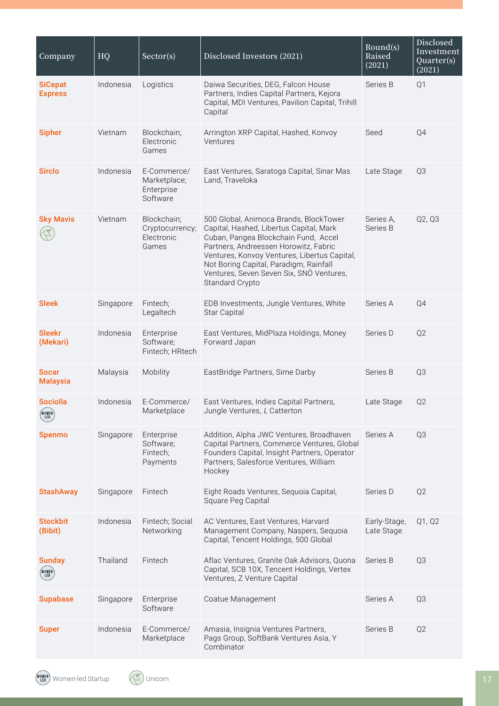| Company                            | HQ        | Sector(s)                                             | Disclosed Investors (2021)                                                                                                                                                                                                                                                                                                  | Round(s)<br>Raised<br>(2021) | <b>Disclosed</b><br>Investment<br>Quarter(s)<br>(2021) |
|------------------------------------|-----------|-------------------------------------------------------|-----------------------------------------------------------------------------------------------------------------------------------------------------------------------------------------------------------------------------------------------------------------------------------------------------------------------------|------------------------------|--------------------------------------------------------|
| <b>SiCepat</b><br><b>Express</b>   | Indonesia | Logistics                                             | Daiwa Securities, DEG, Falcon House<br>Partners, Indies Capital Partners, Kejora<br>Capital, MDI Ventures, Pavilion Capital, Trihill<br>Capital                                                                                                                                                                             | Series B                     | Q1                                                     |
| <b>Sipher</b>                      | Vietnam   | Blockchain;<br>Electronic<br>Games                    | Arrington XRP Capital, Hashed, Konvoy<br>Ventures                                                                                                                                                                                                                                                                           | Seed                         | Q4                                                     |
| <b>Sirclo</b>                      | Indonesia | E-Commerce/<br>Marketplace;<br>Enterprise<br>Software | East Ventures, Saratoga Capital, Sinar Mas<br>Land, Traveloka                                                                                                                                                                                                                                                               | Late Stage                   | Q3                                                     |
| <b>Sky Mavis</b>                   | Vietnam   | Blockchain;<br>Cryptocurrency;<br>Electronic<br>Games | 500 Global, Animoca Brands, BlockTower<br>Capital, Hashed, Libertus Capital, Mark<br>Cuban, Pangea Blockchain Fund, Accel<br>Partners, Andreessen Horowitz, Fabric<br>Ventures, Konvoy Ventures, Libertus Capital,<br>Not Boring Capital, Paradigm, Rainfall<br>Ventures, Seven Seven Six, SNÖ Ventures,<br>Standard Crypto | Series A,<br>Series B        | Q2, Q3                                                 |
| <b>Sleek</b>                       | Singapore | Fintech;<br>Legaltech                                 | EDB Investments, Jungle Ventures, White<br>Star Capital                                                                                                                                                                                                                                                                     | Series A                     | Q4                                                     |
| <b>Sleekr</b><br>(Mekari)          | Indonesia | Enterprise<br>Software;<br>Fintech; HRtech            | East Ventures, MidPlaza Holdings, Money<br>Forward Japan                                                                                                                                                                                                                                                                    | Series D                     | Q <sub>2</sub>                                         |
| <b>Socar</b><br><b>Malaysia</b>    | Malaysia  | Mobility                                              | EastBridge Partners, Sime Darby                                                                                                                                                                                                                                                                                             | Series B                     | Q3                                                     |
| <b>Sociolla</b><br>(WOMEN)<br>(LED | Indonesia | E-Commerce/<br>Marketplace                            | East Ventures, Indies Capital Partners,<br>Jungle Ventures, L Catterton                                                                                                                                                                                                                                                     | Late Stage                   | Q <sub>2</sub>                                         |
| <b>Spenmo</b>                      | Singapore | Enterprise<br>Software;<br>Fintech;<br>Payments       | Addition, Alpha JWC Ventures, Broadhaven<br>Capital Partners, Commerce Ventures, Global<br>Founders Capital, Insight Partners, Operator<br>Partners, Salesforce Ventures, William<br>Hockey                                                                                                                                 | Series A                     | Q3                                                     |
| <b>StashAway</b>                   | Singapore | Fintech                                               | Eight Roads Ventures, Sequoia Capital,<br>Square Peg Capital                                                                                                                                                                                                                                                                | Series D                     | Q2                                                     |
| <b>Stockbit</b><br>(Bibit)         | Indonesia | Fintech; Social<br>Networking                         | AC Ventures, East Ventures, Harvard<br>Management Company, Naspers, Sequoia<br>Capital, Tencent Holdings, 500 Global                                                                                                                                                                                                        | Early-Stage,<br>Late Stage   | Q1, Q2                                                 |
| <b>Sunday</b><br>(WOMEN)<br>LED    | Thailand  | Fintech                                               | Aflac Ventures, Granite Oak Advisors, Quona<br>Capital, SCB 10X, Tencent Holdings, Vertex<br>Ventures, Z Venture Capital                                                                                                                                                                                                    | Series B                     | Q3                                                     |
| <b>Supabase</b>                    | Singapore | Enterprise<br>Software                                | Coatue Management                                                                                                                                                                                                                                                                                                           | Series A                     | Q3                                                     |
| <b>Super</b>                       | Indonesia | E-Commerce/<br>Marketplace                            | Amasia, Insignia Ventures Partners,<br>Pags Group, SoftBank Ventures Asia, Y<br>Combinator                                                                                                                                                                                                                                  | Series B                     | Q2                                                     |

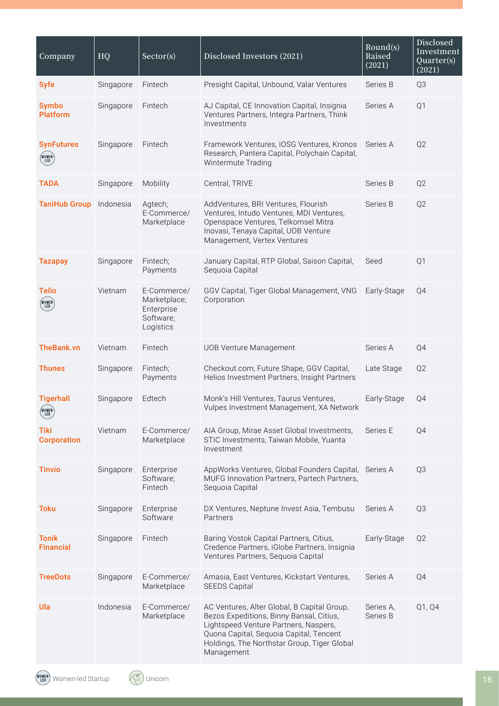| Company                              | HQ        | Sector(s)                                                           | Disclosed Investors (2021)                                                                                                                                                                                                               | Round(s)<br>Raised<br>(2021) | Disclosed<br>Investment<br>Quarter(s)<br>(2021) |
|--------------------------------------|-----------|---------------------------------------------------------------------|------------------------------------------------------------------------------------------------------------------------------------------------------------------------------------------------------------------------------------------|------------------------------|-------------------------------------------------|
| <b>Syfe</b>                          | Singapore | Fintech                                                             | Presight Capital, Unbound, Valar Ventures                                                                                                                                                                                                | Series B                     | Q3                                              |
| <b>Symbo</b><br><b>Platform</b>      | Singapore | Fintech                                                             | AJ Capital, CE Innovation Capital, Insignia<br>Ventures Partners, Integra Partners, Think<br>Investments                                                                                                                                 | Series A                     | Q1                                              |
| <b>SynFutures</b><br>(WOMEN)<br>(LED | Singapore | Fintech                                                             | Framework Ventures, IOSG Ventures, Kronos<br>Research, Pantera Capital, Polychain Capital,<br>Wintermute Trading                                                                                                                         | Series A                     | Q2                                              |
| <b>TADA</b>                          | Singapore | Mobility                                                            | Central, TRIVE                                                                                                                                                                                                                           | Series B                     | Q2                                              |
| <b>TaniHub Group</b>                 | Indonesia | Agtech;<br>E-Commerce/<br>Marketplace                               | AddVentures, BRI Ventures, Flourish<br>Ventures, Intudo Ventures, MDI Ventures,<br>Openspace Ventures, Telkomsel Mitra<br>Inovasi, Tenaya Capital, UOB Venture<br>Management, Vertex Ventures                                            | Series B                     | Q2                                              |
| <b>Tazapay</b>                       | Singapore | Fintech;<br>Payments                                                | January Capital, RTP Global, Saison Capital,<br>Sequoia Capital                                                                                                                                                                          | Seed                         | Q <sub>1</sub>                                  |
| <b>Telio</b><br>(WOMEN)<br>(LED)     | Vietnam   | E-Commerce/<br>Marketplace;<br>Enterprise<br>Software;<br>Logistics | GGV Capital, Tiger Global Management, VNG<br>Corporation                                                                                                                                                                                 | Early-Stage                  | Q4                                              |
| <b>TheBank.vn</b>                    | Vietnam   | Fintech                                                             | <b>UOB Venture Management</b>                                                                                                                                                                                                            | Series A                     | Q4                                              |
| <b>Thunes</b>                        | Singapore | Fintech;<br>Payments                                                | Checkout.com, Future Shape, GGV Capital,<br>Helios Investment Partners, Insight Partners                                                                                                                                                 | Late Stage                   | Q <sub>2</sub>                                  |
| <b>Tigerhall</b><br>(WOMEN)<br>(LED) | Singapore | Edtech                                                              | Monk's Hill Ventures, Taurus Ventures,<br>Vulpes Investment Management, XA Network                                                                                                                                                       | Early-Stage                  | Q4                                              |
| <b>Tiki</b><br><b>Corporation</b>    | Vietnam   | E-Commerce/<br>Marketplace                                          | AIA Group, Mirae Asset Global Investments,<br>STIC Investments, Taiwan Mobile, Yuanta<br>Investment                                                                                                                                      | Series E                     | Q4                                              |
| <b>Tinvio</b>                        | Singapore | Enterprise<br>Software;<br>Fintech                                  | AppWorks Ventures, Global Founders Capital,<br>MUFG Innovation Partners, Partech Partners,<br>Sequoia Capital                                                                                                                            | Series A                     | Q3                                              |
| <b>Toku</b>                          | Singapore | Enterprise<br>Software                                              | DX Ventures, Neptune Invest Asia, Tembusu<br>Partners                                                                                                                                                                                    | Series A                     | Q3                                              |
| <b>Tonik</b><br><b>Financial</b>     | Singapore | Fintech                                                             | Baring Vostok Capital Partners, Citius,<br>Credence Partners, iGlobe Partners, Insignia<br>Ventures Partners, Sequoia Capital                                                                                                            | Early-Stage                  | Q2                                              |
| <b>TreeDots</b>                      | Singapore | E-Commerce/<br>Marketplace                                          | Amasia, East Ventures, Kickstart Ventures,<br><b>SEEDS Capital</b>                                                                                                                                                                       | Series A                     | Q4                                              |
| Ula                                  | Indonesia | E-Commerce/<br>Marketplace                                          | AC Ventures, Alter Global, B Capital Group,<br>Bezos Expeditions, Binny Bansal, Citius,<br>Lightspeed Venture Partners, Naspers,<br>Quona Capital, Sequoia Capital, Tencent<br>Holdings, The Northstar Group, Tiger Global<br>Management | Series A,<br>Series B        | Q1, Q4                                          |

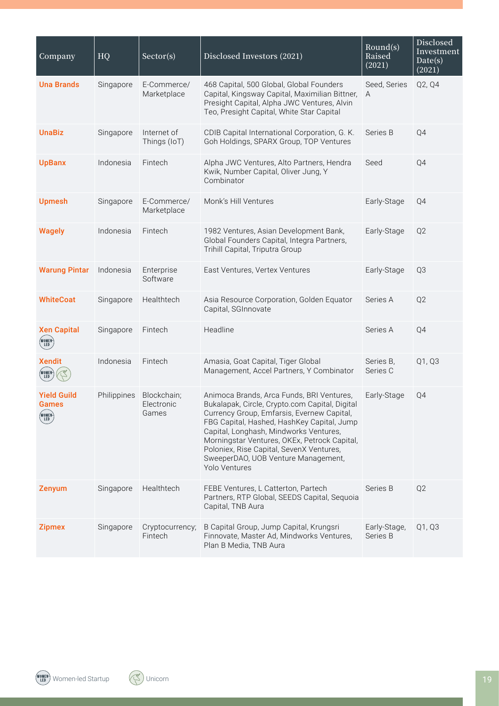| Company                               | HQ          | Sector(s)                          | Disclosed Investors (2021)                                                                                                                                                                                                                                                                                                                                                            | Round(s)<br>Raised<br>(2021) | Disclosed<br>Investment<br>Date(s)<br>(2021) |
|---------------------------------------|-------------|------------------------------------|---------------------------------------------------------------------------------------------------------------------------------------------------------------------------------------------------------------------------------------------------------------------------------------------------------------------------------------------------------------------------------------|------------------------------|----------------------------------------------|
| <b>Una Brands</b>                     | Singapore   | E-Commerce/<br>Marketplace         | 468 Capital, 500 Global, Global Founders<br>Capital, Kingsway Capital, Maximilian Bittner,<br>Presight Capital, Alpha JWC Ventures, Alvin<br>Teo, Presight Capital, White Star Capital                                                                                                                                                                                                | Seed, Series<br>A            | Q2, Q4                                       |
| <b>UnaBiz</b>                         | Singapore   | Internet of<br>Things (IoT)        | CDIB Capital International Corporation, G. K.<br>Goh Holdings, SPARX Group, TOP Ventures                                                                                                                                                                                                                                                                                              | Series B                     | Q4                                           |
| <b>UpBanx</b>                         | Indonesia   | Fintech                            | Alpha JWC Ventures, Alto Partners, Hendra<br>Kwik, Number Capital, Oliver Jung, Y<br>Combinator                                                                                                                                                                                                                                                                                       | Seed                         | Q4                                           |
| <b>Upmesh</b>                         | Singapore   | E-Commerce/<br>Marketplace         | Monk's Hill Ventures                                                                                                                                                                                                                                                                                                                                                                  | Early-Stage                  | Q4                                           |
| <b>Wagely</b>                         | Indonesia   | Fintech                            | 1982 Ventures, Asian Development Bank,<br>Global Founders Capital, Integra Partners,<br>Trihill Capital, Triputra Group                                                                                                                                                                                                                                                               | Early-Stage                  | Q <sub>2</sub>                               |
| <b>Warung Pintar</b>                  | Indonesia   | Enterprise<br>Software             | East Ventures, Vertex Ventures                                                                                                                                                                                                                                                                                                                                                        | Early-Stage                  | Q3                                           |
| <b>WhiteCoat</b>                      | Singapore   | Healthtech                         | Asia Resource Corporation, Golden Equator<br>Capital, SGInnovate                                                                                                                                                                                                                                                                                                                      | Series A                     | Q <sub>2</sub>                               |
| <b>Xen Capital</b><br>(WOMEN)<br>(LED | Singapore   | Fintech                            | Headline                                                                                                                                                                                                                                                                                                                                                                              | Series A                     | Q4                                           |
| <b>Xendit</b><br>(WOMEN)<br>(LED      | Indonesia   | Fintech                            | Amasia, Goat Capital, Tiger Global<br>Management, Accel Partners, Y Combinator                                                                                                                                                                                                                                                                                                        | Series B,<br>Series C        | Q1, Q3                                       |
| <b>Yield Guild</b><br>Games           | Philippines | Blockchain;<br>Electronic<br>Games | Animoca Brands, Arca Funds, BRI Ventures,<br>Bukalapak, Circle, Crypto.com Capital, Digital<br>Currency Group, Emfarsis, Evernew Capital,<br>FBG Capital, Hashed, HashKey Capital, Jump<br>Capital, Longhash, Mindworks Ventures,<br>Morningstar Ventures, OKEx, Petrock Capital,<br>Poloniex, Rise Capital, SevenX Ventures,<br>SweeperDAO, UOB Venture Management,<br>Yolo Ventures | Early-Stage                  | Q4                                           |
| Zenyum                                | Singapore   | Healthtech                         | FEBE Ventures, L Catterton, Partech<br>Partners, RTP Global, SEEDS Capital, Sequoia<br>Capital, TNB Aura                                                                                                                                                                                                                                                                              | Series B                     | Q <sub>2</sub>                               |
| <b>Zipmex</b>                         | Singapore   | Cryptocurrency;<br>Fintech         | B Capital Group, Jump Capital, Krungsri<br>Finnovate, Master Ad, Mindworks Ventures,<br>Plan B Media, TNB Aura                                                                                                                                                                                                                                                                        | Early-Stage,<br>Series B     | Q1, Q3                                       |

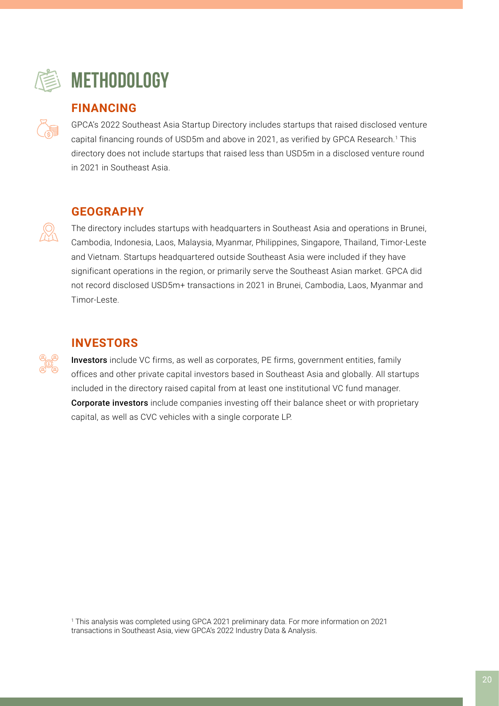

# **METHODOLOGY**

### **FINANCING**

GPCA's 2022 Southeast Asia Startup Directory includes startups that raised disclosed venture capital financing rounds of USD5m and above in 2021, as verified by GPCA Research.<sup>1</sup> This directory does not include startups that raised less than USD5m in a disclosed venture round in 2021 in Southeast Asia.

## **GEOGRAPHY**

The directory includes startups with headquarters in Southeast Asia and operations in Brunei, Cambodia, Indonesia, Laos, Malaysia, Myanmar, Philippines, Singapore, Thailand, Timor-Leste and Vietnam. Startups headquartered outside Southeast Asia were included if they have significant operations in the region, or primarily serve the Southeast Asian market. GPCA did not record disclosed USD5m+ transactions in 2021 in Brunei, Cambodia, Laos, Myanmar and Timor-Leste.

## **INVESTORS**

Investors include VC firms, as well as corporates, PE firms, government entities, family offices and other private capital investors based in Southeast Asia and globally. All startups included in the directory raised capital from at least one institutional VC fund manager. Corporate investors include companies investing off their balance sheet or with proprietary capital, as well as CVC vehicles with a single corporate LP.

1 This analysis was completed using GPCA 2021 preliminary data. For more information on 2021 transactions in Southeast Asia, view GPCA's 2022 Industry Data & Analysis.